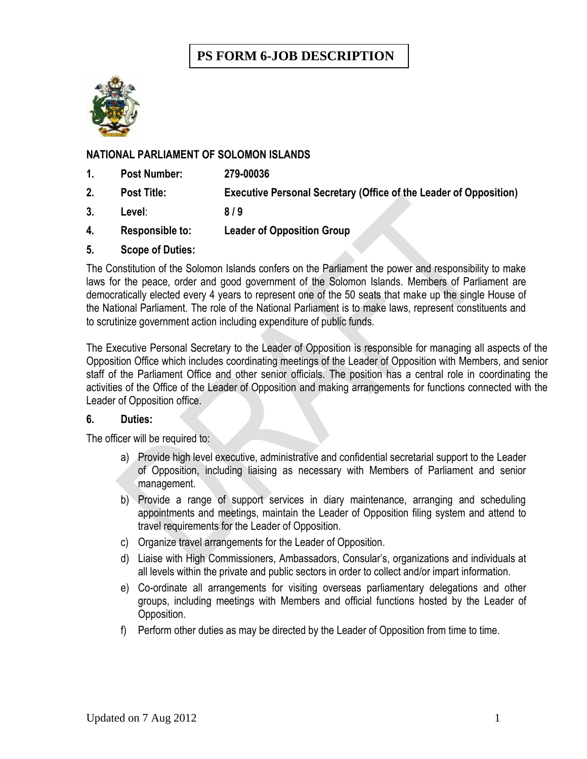# **PS FORM 6-JOB DESCRIPTION**



## **NATIONAL PARLIAMENT OF SOLOMON ISLANDS**

- **1. Post Number: 279-00036**
- **2. Post Title: Executive Personal Secretary (Office of the Leader of Opposition)**
- **3. Level**: **8 / 9**
- **4. Responsible to: Leader of Opposition Group**
- **5. Scope of Duties:**

The Constitution of the Solomon Islands confers on the Parliament the power and responsibility to make laws for the peace, order and good government of the Solomon Islands. Members of Parliament are democratically elected every 4 years to represent one of the 50 seats that make up the single House of the National Parliament. The role of the National Parliament is to make laws, represent constituents and to scrutinize government action including expenditure of public funds.

The Executive Personal Secretary to the Leader of Opposition is responsible for managing all aspects of the Opposition Office which includes coordinating meetings of the Leader of Opposition with Members, and senior staff of the Parliament Office and other senior officials. The position has a central role in coordinating the activities of the Office of the Leader of Opposition and making arrangements for functions connected with the Leader of Opposition office.

#### **6. Duties:**

The officer will be required to:

- a) Provide high level executive, administrative and confidential secretarial support to the Leader of Opposition, including liaising as necessary with Members of Parliament and senior management.
- b) Provide a range of support services in diary maintenance, arranging and scheduling appointments and meetings, maintain the Leader of Opposition filing system and attend to travel requirements for the Leader of Opposition.
- c) Organize travel arrangements for the Leader of Opposition.
- d) Liaise with High Commissioners, Ambassadors, Consular's, organizations and individuals at all levels within the private and public sectors in order to collect and/or impart information.
- e) Co-ordinate all arrangements for visiting overseas parliamentary delegations and other groups, including meetings with Members and official functions hosted by the Leader of Opposition.
- f) Perform other duties as may be directed by the Leader of Opposition from time to time.